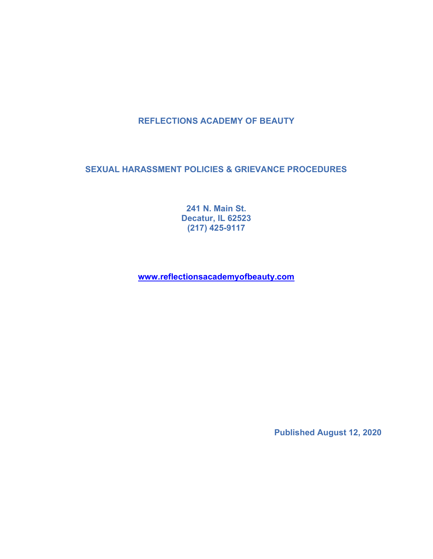# REFLECTIONS ACADEMY OF BEAUTY

SEXUAL HARASSMENT POLICIES & GRIEVANCE PROCEDURES

241 N. Main St. Decatur, IL 62523 (217) 425-9117

www.reflectionsacademyofbeauty.com

Published August 12, 2020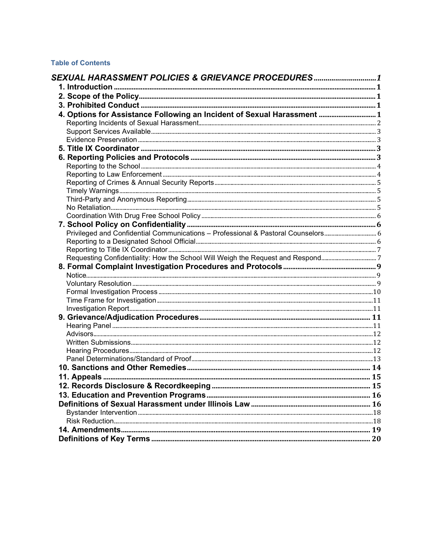# **Table of Contents**

| SEXUAL HARASSMENT POLICIES & GRIEVANCE PROCEDURES1                      |  |
|-------------------------------------------------------------------------|--|
|                                                                         |  |
|                                                                         |  |
|                                                                         |  |
| 4. Options for Assistance Following an Incident of Sexual Harassment  1 |  |
|                                                                         |  |
|                                                                         |  |
|                                                                         |  |
|                                                                         |  |
|                                                                         |  |
|                                                                         |  |
|                                                                         |  |
|                                                                         |  |
|                                                                         |  |
|                                                                         |  |
|                                                                         |  |
|                                                                         |  |
|                                                                         |  |
|                                                                         |  |
|                                                                         |  |
|                                                                         |  |
|                                                                         |  |
|                                                                         |  |
|                                                                         |  |
|                                                                         |  |
|                                                                         |  |
|                                                                         |  |
|                                                                         |  |
|                                                                         |  |
|                                                                         |  |
|                                                                         |  |
|                                                                         |  |
|                                                                         |  |
|                                                                         |  |
|                                                                         |  |
|                                                                         |  |
|                                                                         |  |
|                                                                         |  |
|                                                                         |  |
|                                                                         |  |
|                                                                         |  |
|                                                                         |  |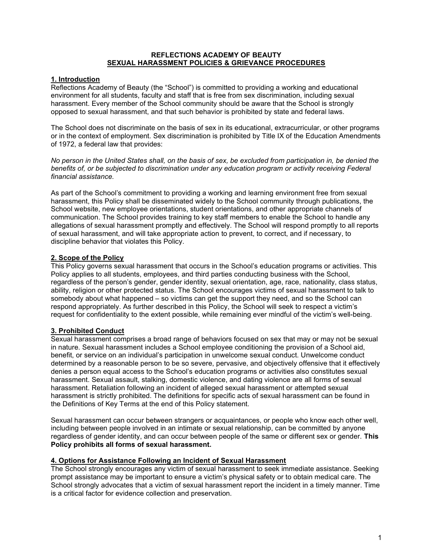## REFLECTIONS ACADEMY OF BEAUTY SEXUAL HARASSMENT POLICIES & GRIEVANCE PROCEDURES

## 1. Introduction

Reflections Academy of Beauty (the "School") is committed to providing a working and educational environment for all students, faculty and staff that is free from sex discrimination, including sexual harassment. Every member of the School community should be aware that the School is strongly opposed to sexual harassment, and that such behavior is prohibited by state and federal laws.

The School does not discriminate on the basis of sex in its educational, extracurricular, or other programs or in the context of employment. Sex discrimination is prohibited by Title IX of the Education Amendments of 1972, a federal law that provides:

No person in the United States shall, on the basis of sex, be excluded from participation in, be denied the benefits of, or be subjected to discrimination under any education program or activity receiving Federal financial assistance.

As part of the School's commitment to providing a working and learning environment free from sexual harassment, this Policy shall be disseminated widely to the School community through publications, the School website, new employee orientations, student orientations, and other appropriate channels of communication. The School provides training to key staff members to enable the School to handle any allegations of sexual harassment promptly and effectively. The School will respond promptly to all reports of sexual harassment, and will take appropriate action to prevent, to correct, and if necessary, to discipline behavior that violates this Policy.

## 2. Scope of the Policy

This Policy governs sexual harassment that occurs in the School's education programs or activities. This Policy applies to all students, employees, and third parties conducting business with the School, regardless of the person's gender, gender identity, sexual orientation, age, race, nationality, class status, ability, religion or other protected status. The School encourages victims of sexual harassment to talk to somebody about what happened – so victims can get the support they need, and so the School can respond appropriately. As further described in this Policy, the School will seek to respect a victim's request for confidentiality to the extent possible, while remaining ever mindful of the victim's well-being.

#### 3. Prohibited Conduct

Sexual harassment comprises a broad range of behaviors focused on sex that may or may not be sexual in nature. Sexual harassment includes a School employee conditioning the provision of a School aid, benefit, or service on an individual's participation in unwelcome sexual conduct. Unwelcome conduct determined by a reasonable person to be so severe, pervasive, and objectively offensive that it effectively denies a person equal access to the School's education programs or activities also constitutes sexual harassment. Sexual assault, stalking, domestic violence, and dating violence are all forms of sexual harassment. Retaliation following an incident of alleged sexual harassment or attempted sexual harassment is strictly prohibited. The definitions for specific acts of sexual harassment can be found in the Definitions of Key Terms at the end of this Policy statement.

Sexual harassment can occur between strangers or acquaintances, or people who know each other well, including between people involved in an intimate or sexual relationship, can be committed by anyone regardless of gender identity, and can occur between people of the same or different sex or gender. This Policy prohibits all forms of sexual harassment.

#### 4. Options for Assistance Following an Incident of Sexual Harassment

The School strongly encourages any victim of sexual harassment to seek immediate assistance. Seeking prompt assistance may be important to ensure a victim's physical safety or to obtain medical care. The School strongly advocates that a victim of sexual harassment report the incident in a timely manner. Time is a critical factor for evidence collection and preservation.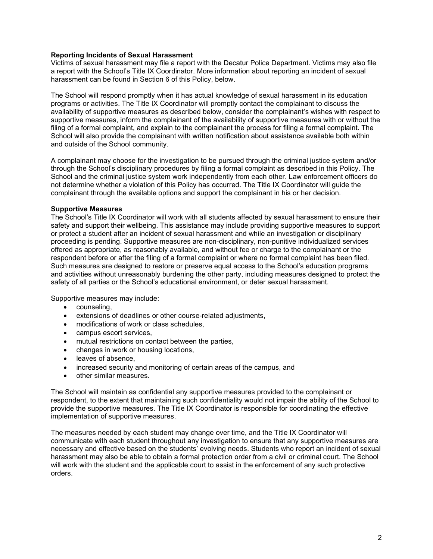### Reporting Incidents of Sexual Harassment

Victims of sexual harassment may file a report with the Decatur Police Department. Victims may also file a report with the School's Title IX Coordinator. More information about reporting an incident of sexual harassment can be found in Section 6 of this Policy, below.

The School will respond promptly when it has actual knowledge of sexual harassment in its education programs or activities. The Title IX Coordinator will promptly contact the complainant to discuss the availability of supportive measures as described below, consider the complainant's wishes with respect to supportive measures, inform the complainant of the availability of supportive measures with or without the filing of a formal complaint, and explain to the complainant the process for filing a formal complaint. The School will also provide the complainant with written notification about assistance available both within and outside of the School community.

A complainant may choose for the investigation to be pursued through the criminal justice system and/or through the School's disciplinary procedures by filing a formal complaint as described in this Policy. The School and the criminal justice system work independently from each other. Law enforcement officers do not determine whether a violation of this Policy has occurred. The Title IX Coordinator will guide the complainant through the available options and support the complainant in his or her decision.

#### Supportive Measures

The School's Title IX Coordinator will work with all students affected by sexual harassment to ensure their safety and support their wellbeing. This assistance may include providing supportive measures to support or protect a student after an incident of sexual harassment and while an investigation or disciplinary proceeding is pending. Supportive measures are non-disciplinary, non-punitive individualized services offered as appropriate, as reasonably available, and without fee or charge to the complainant or the respondent before or after the filing of a formal complaint or where no formal complaint has been filed. Such measures are designed to restore or preserve equal access to the School's education programs and activities without unreasonably burdening the other party, including measures designed to protect the safety of all parties or the School's educational environment, or deter sexual harassment.

Supportive measures may include:

- counseling,
- extensions of deadlines or other course-related adjustments,
- modifications of work or class schedules,
- campus escort services,
- mutual restrictions on contact between the parties,
- changes in work or housing locations,
- leaves of absence.
- increased security and monitoring of certain areas of the campus, and
- other similar measures.

The School will maintain as confidential any supportive measures provided to the complainant or respondent, to the extent that maintaining such confidentiality would not impair the ability of the School to provide the supportive measures. The Title IX Coordinator is responsible for coordinating the effective implementation of supportive measures.

The measures needed by each student may change over time, and the Title IX Coordinator will communicate with each student throughout any investigation to ensure that any supportive measures are necessary and effective based on the students' evolving needs. Students who report an incident of sexual harassment may also be able to obtain a formal protection order from a civil or criminal court. The School will work with the student and the applicable court to assist in the enforcement of any such protective orders.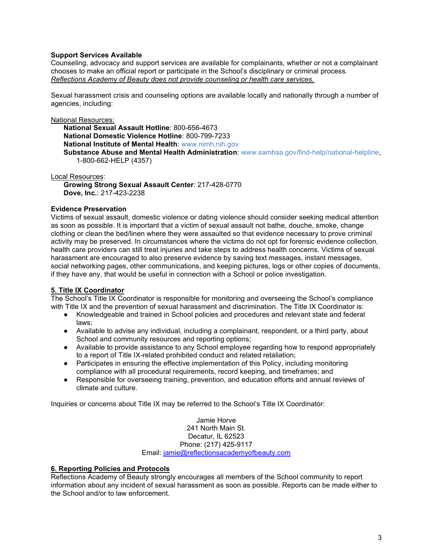## Support Services Available

Counseling, advocacy and support services are available for complainants, whether or not a complainant chooses to make an official report or participate in the School's disciplinary or criminal process. Reflections Academy of Beauty does not provide counseling or health care services.

Sexual harassment crisis and counseling options are available locally and nationally through a number of agencies, including:

#### National Resources:

National Sexual Assault Hotline: 800-656-4673 National Domestic Violence Hotline: 800-799-7233 National Institute of Mental Health: www.nimh.nih.gov Substance Abuse and Mental Health Administration: www.samhsa.gov/find-help/national-helpline, 1-800-662-HELP (4357)

Local Resources:

Growing Strong Sexual Assault Center: 217-428-0770 Dove, Inc.: 217-423-2238

#### Evidence Preservation

Victims of sexual assault, domestic violence or dating violence should consider seeking medical attention as soon as possible. It is important that a victim of sexual assault not bathe, douche, smoke, change clothing or clean the bed/linen where they were assaulted so that evidence necessary to prove criminal activity may be preserved. In circumstances where the victims do not opt for forensic evidence collection, health care providers can still treat injuries and take steps to address health concerns. Victims of sexual harassment are encouraged to also preserve evidence by saving text messages, instant messages, social networking pages, other communications, and keeping pictures, logs or other copies of documents, if they have any, that would be useful in connection with a School or police investigation.

#### 5. Title IX Coordinator

The School's Title IX Coordinator is responsible for monitoring and overseeing the School's compliance with Title IX and the prevention of sexual harassment and discrimination. The Title IX Coordinator is:

- Knowledgeable and trained in School policies and procedures and relevant state and federal laws;
- Available to advise any individual, including a complainant, respondent, or a third party, about School and community resources and reporting options:
- Available to provide assistance to any School employee regarding how to respond appropriately to a report of Title IX-related prohibited conduct and related retaliation;
- Participates in ensuring the effective implementation of this Policy, including monitoring compliance with all procedural requirements, record keeping, and timeframes; and
- Responsible for overseeing training, prevention, and education efforts and annual reviews of climate and culture.

Inquiries or concerns about Title IX may be referred to the School's Title IX Coordinator:

Jamie Horve 241 North Main St. Decatur, IL 62523 Phone: (217) 425-9117 Email: jamie@reflectionsacademyofbeauty.com

#### 6. Reporting Policies and Protocols

Reflections Academy of Beauty strongly encourages all members of the School community to report information about any incident of sexual harassment as soon as possible. Reports can be made either to the School and/or to law enforcement.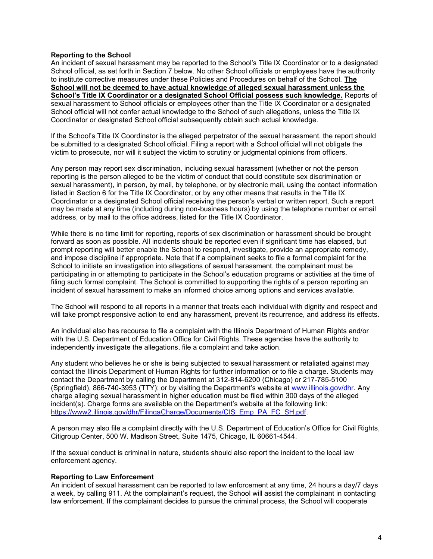### Reporting to the School

An incident of sexual harassment may be reported to the School's Title IX Coordinator or to a designated School official, as set forth in Section 7 below. No other School officials or employees have the authority to institute corrective measures under these Policies and Procedures on behalf of the School. The School will not be deemed to have actual knowledge of alleged sexual harassment unless the School's Title IX Coordinator or a designated School Official possess such knowledge. Reports of sexual harassment to School officials or employees other than the Title IX Coordinator or a designated School official will not confer actual knowledge to the School of such allegations, unless the Title IX Coordinator or designated School official subsequently obtain such actual knowledge.

If the School's Title IX Coordinator is the alleged perpetrator of the sexual harassment, the report should be submitted to a designated School official. Filing a report with a School official will not obligate the victim to prosecute, nor will it subject the victim to scrutiny or judgmental opinions from officers.

Any person may report sex discrimination, including sexual harassment (whether or not the person reporting is the person alleged to be the victim of conduct that could constitute sex discrimination or sexual harassment), in person, by mail, by telephone, or by electronic mail, using the contact information listed in Section 6 for the Title IX Coordinator, or by any other means that results in the Title IX Coordinator or a designated School official receiving the person's verbal or written report. Such a report may be made at any time (including during non-business hours) by using the telephone number or email address, or by mail to the office address, listed for the Title IX Coordinator.

While there is no time limit for reporting, reports of sex discrimination or harassment should be brought forward as soon as possible. All incidents should be reported even if significant time has elapsed, but prompt reporting will better enable the School to respond, investigate, provide an appropriate remedy, and impose discipline if appropriate. Note that if a complainant seeks to file a formal complaint for the School to initiate an investigation into allegations of sexual harassment, the complainant must be participating in or attempting to participate in the School's education programs or activities at the time of filing such formal complaint. The School is committed to supporting the rights of a person reporting an incident of sexual harassment to make an informed choice among options and services available.

The School will respond to all reports in a manner that treats each individual with dignity and respect and will take prompt responsive action to end any harassment, prevent its recurrence, and address its effects.

An individual also has recourse to file a complaint with the Illinois Department of Human Rights and/or with the U.S. Department of Education Office for Civil Rights. These agencies have the authority to independently investigate the allegations, file a complaint and take action.

Any student who believes he or she is being subjected to sexual harassment or retaliated against may contact the Illinois Department of Human Rights for further information or to file a charge. Students may contact the Department by calling the Department at 312-814-6200 (Chicago) or 217-785-5100 (Springfield), 866-740-3953 (TTY); or by visiting the Department's website at www.illinois.gov/dhr. Any charge alleging sexual harassment in higher education must be filed within 300 days of the alleged incident(s). Charge forms are available on the Department's website at the following link: https://www2.illinois.gov/dhr/FilingaCharge/Documents/CIS\_Emp\_PA\_FC\_SH.pdf.

A person may also file a complaint directly with the U.S. Department of Education's Office for Civil Rights, Citigroup Center, 500 W. Madison Street, Suite 1475, Chicago, IL 60661-4544.

If the sexual conduct is criminal in nature, students should also report the incident to the local law enforcement agency.

#### Reporting to Law Enforcement

An incident of sexual harassment can be reported to law enforcement at any time, 24 hours a day/7 days a week, by calling 911. At the complainant's request, the School will assist the complainant in contacting law enforcement. If the complainant decides to pursue the criminal process, the School will cooperate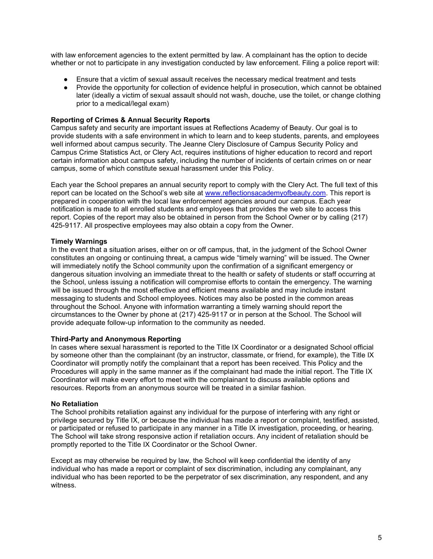with law enforcement agencies to the extent permitted by law. A complainant has the option to decide whether or not to participate in any investigation conducted by law enforcement. Filing a police report will:

- Ensure that a victim of sexual assault receives the necessary medical treatment and tests
- Provide the opportunity for collection of evidence helpful in prosecution, which cannot be obtained later (ideally a victim of sexual assault should not wash, douche, use the toilet, or change clothing prior to a medical/legal exam)

## Reporting of Crimes & Annual Security Reports

Campus safety and security are important issues at Reflections Academy of Beauty. Our goal is to provide students with a safe environment in which to learn and to keep students, parents, and employees well informed about campus security. The Jeanne Clery Disclosure of Campus Security Policy and Campus Crime Statistics Act, or Clery Act, requires institutions of higher education to record and report certain information about campus safety, including the number of incidents of certain crimes on or near campus, some of which constitute sexual harassment under this Policy.

Each year the School prepares an annual security report to comply with the Clery Act. The full text of this report can be located on the School's web site at www.reflectionsacademyofbeauty.com. This report is prepared in cooperation with the local law enforcement agencies around our campus. Each year notification is made to all enrolled students and employees that provides the web site to access this report. Copies of the report may also be obtained in person from the School Owner or by calling (217) 425-9117. All prospective employees may also obtain a copy from the Owner.

## Timely Warnings

In the event that a situation arises, either on or off campus, that, in the judgment of the School Owner constitutes an ongoing or continuing threat, a campus wide "timely warning" will be issued. The Owner will immediately notify the School community upon the confirmation of a significant emergency or dangerous situation involving an immediate threat to the health or safety of students or staff occurring at the School, unless issuing a notification will compromise efforts to contain the emergency. The warning will be issued through the most effective and efficient means available and may include instant messaging to students and School employees. Notices may also be posted in the common areas throughout the School. Anyone with information warranting a timely warning should report the circumstances to the Owner by phone at (217) 425-9117 or in person at the School. The School will provide adequate follow-up information to the community as needed.

#### Third-Party and Anonymous Reporting

In cases where sexual harassment is reported to the Title IX Coordinator or a designated School official by someone other than the complainant (by an instructor, classmate, or friend, for example), the Title IX Coordinator will promptly notify the complainant that a report has been received. This Policy and the Procedures will apply in the same manner as if the complainant had made the initial report. The Title IX Coordinator will make every effort to meet with the complainant to discuss available options and resources. Reports from an anonymous source will be treated in a similar fashion.

#### No Retaliation

The School prohibits retaliation against any individual for the purpose of interfering with any right or privilege secured by Title IX, or because the individual has made a report or complaint, testified, assisted, or participated or refused to participate in any manner in a Title IX investigation, proceeding, or hearing. The School will take strong responsive action if retaliation occurs. Any incident of retaliation should be promptly reported to the Title IX Coordinator or the School Owner.

Except as may otherwise be required by law, the School will keep confidential the identity of any individual who has made a report or complaint of sex discrimination, including any complainant, any individual who has been reported to be the perpetrator of sex discrimination, any respondent, and any witness.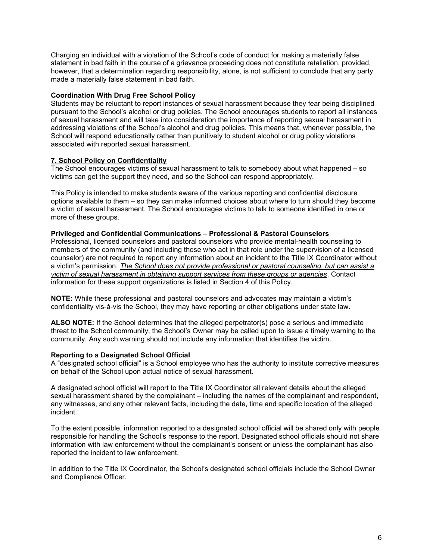Charging an individual with a violation of the School's code of conduct for making a materially false statement in bad faith in the course of a grievance proceeding does not constitute retaliation, provided, however, that a determination regarding responsibility, alone, is not sufficient to conclude that any party made a materially false statement in bad faith.

## Coordination With Drug Free School Policy

Students may be reluctant to report instances of sexual harassment because they fear being disciplined pursuant to the School's alcohol or drug policies. The School encourages students to report all instances of sexual harassment and will take into consideration the importance of reporting sexual harassment in addressing violations of the School's alcohol and drug policies. This means that, whenever possible, the School will respond educationally rather than punitively to student alcohol or drug policy violations associated with reported sexual harassment.

## 7. School Policy on Confidentiality

The School encourages victims of sexual harassment to talk to somebody about what happened – so victims can get the support they need, and so the School can respond appropriately.

This Policy is intended to make students aware of the various reporting and confidential disclosure options available to them – so they can make informed choices about where to turn should they become a victim of sexual harassment. The School encourages victims to talk to someone identified in one or more of these groups.

#### Privileged and Confidential Communications – Professional & Pastoral Counselors

Professional, licensed counselors and pastoral counselors who provide mental-health counseling to members of the community (and including those who act in that role under the supervision of a licensed counselor) are not required to report any information about an incident to the Title IX Coordinator without a victim's permission. The School does not provide professional or pastoral counseling, but can assist a victim of sexual harassment in obtaining support services from these groups or agencies. Contact information for these support organizations is listed in Section 4 of this Policy.

NOTE: While these professional and pastoral counselors and advocates may maintain a victim's confidentiality vis-à-vis the School, they may have reporting or other obligations under state law.

ALSO NOTE: If the School determines that the alleged perpetrator(s) pose a serious and immediate threat to the School community, the School's Owner may be called upon to issue a timely warning to the community. Any such warning should not include any information that identifies the victim.

#### Reporting to a Designated School Official

A "designated school official" is a School employee who has the authority to institute corrective measures on behalf of the School upon actual notice of sexual harassment.

A designated school official will report to the Title IX Coordinator all relevant details about the alleged sexual harassment shared by the complainant – including the names of the complainant and respondent, any witnesses, and any other relevant facts, including the date, time and specific location of the alleged incident.

To the extent possible, information reported to a designated school official will be shared only with people responsible for handling the School's response to the report. Designated school officials should not share information with law enforcement without the complainant's consent or unless the complainant has also reported the incident to law enforcement.

In addition to the Title IX Coordinator, the School's designated school officials include the School Owner and Compliance Officer.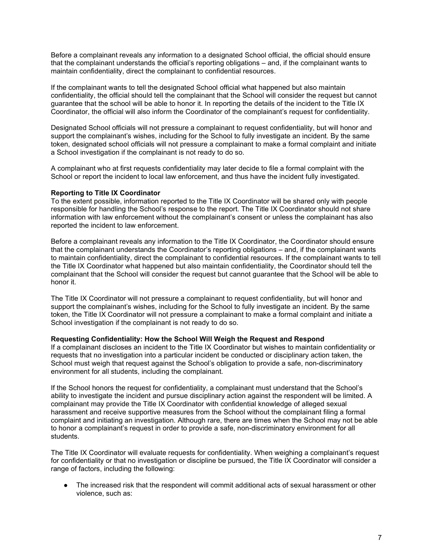Before a complainant reveals any information to a designated School official, the official should ensure that the complainant understands the official's reporting obligations – and, if the complainant wants to maintain confidentiality, direct the complainant to confidential resources.

If the complainant wants to tell the designated School official what happened but also maintain confidentiality, the official should tell the complainant that the School will consider the request but cannot guarantee that the school will be able to honor it. In reporting the details of the incident to the Title IX Coordinator, the official will also inform the Coordinator of the complainant's request for confidentiality.

Designated School officials will not pressure a complainant to request confidentiality, but will honor and support the complainant's wishes, including for the School to fully investigate an incident. By the same token, designated school officials will not pressure a complainant to make a formal complaint and initiate a School investigation if the complainant is not ready to do so.

A complainant who at first requests confidentiality may later decide to file a formal complaint with the School or report the incident to local law enforcement, and thus have the incident fully investigated.

#### Reporting to Title IX Coordinator

To the extent possible, information reported to the Title IX Coordinator will be shared only with people responsible for handling the School's response to the report. The Title IX Coordinator should not share information with law enforcement without the complainant's consent or unless the complainant has also reported the incident to law enforcement.

Before a complainant reveals any information to the Title IX Coordinator, the Coordinator should ensure that the complainant understands the Coordinator's reporting obligations – and, if the complainant wants to maintain confidentiality, direct the complainant to confidential resources. If the complainant wants to tell the Title IX Coordinator what happened but also maintain confidentiality, the Coordinator should tell the complainant that the School will consider the request but cannot guarantee that the School will be able to honor it.

The Title IX Coordinator will not pressure a complainant to request confidentiality, but will honor and support the complainant's wishes, including for the School to fully investigate an incident. By the same token, the Title IX Coordinator will not pressure a complainant to make a formal complaint and initiate a School investigation if the complainant is not ready to do so.

#### Requesting Confidentiality: How the School Will Weigh the Request and Respond

If a complainant discloses an incident to the Title IX Coordinator but wishes to maintain confidentiality or requests that no investigation into a particular incident be conducted or disciplinary action taken, the School must weigh that request against the School's obligation to provide a safe, non-discriminatory environment for all students, including the complainant.

If the School honors the request for confidentiality, a complainant must understand that the School's ability to investigate the incident and pursue disciplinary action against the respondent will be limited. A complainant may provide the Title IX Coordinator with confidential knowledge of alleged sexual harassment and receive supportive measures from the School without the complainant filing a formal complaint and initiating an investigation. Although rare, there are times when the School may not be able to honor a complainant's request in order to provide a safe, non-discriminatory environment for all students.

The Title IX Coordinator will evaluate requests for confidentiality. When weighing a complainant's request for confidentiality or that no investigation or discipline be pursued, the Title IX Coordinator will consider a range of factors, including the following:

The increased risk that the respondent will commit additional acts of sexual harassment or other violence, such as: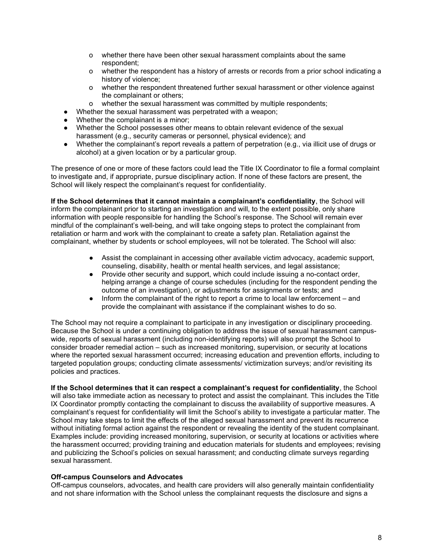- o whether there have been other sexual harassment complaints about the same respondent;
- o whether the respondent has a history of arrests or records from a prior school indicating a history of violence;
- o whether the respondent threatened further sexual harassment or other violence against the complainant or others;
- o whether the sexual harassment was committed by multiple respondents;
- Whether the sexual harassment was perpetrated with a weapon:
- Whether the complainant is a minor:
- Whether the School possesses other means to obtain relevant evidence of the sexual harassment (e.g., security cameras or personnel, physical evidence); and
- Whether the complainant's report reveals a pattern of perpetration (e.g., via illicit use of drugs or alcohol) at a given location or by a particular group.

The presence of one or more of these factors could lead the Title IX Coordinator to file a formal complaint to investigate and, if appropriate, pursue disciplinary action. If none of these factors are present, the School will likely respect the complainant's request for confidentiality.

If the School determines that it cannot maintain a complainant's confidentiality, the School will inform the complainant prior to starting an investigation and will, to the extent possible, only share information with people responsible for handling the School's response. The School will remain ever mindful of the complainant's well-being, and will take ongoing steps to protect the complainant from retaliation or harm and work with the complainant to create a safety plan. Retaliation against the complainant, whether by students or school employees, will not be tolerated. The School will also:

- Assist the complainant in accessing other available victim advocacy, academic support, counseling, disability, health or mental health services, and legal assistance;
- Provide other security and support, which could include issuing a no-contact order, helping arrange a change of course schedules (including for the respondent pending the outcome of an investigation), or adjustments for assignments or tests; and
- Inform the complainant of the right to report a crime to local law enforcement and provide the complainant with assistance if the complainant wishes to do so.

The School may not require a complainant to participate in any investigation or disciplinary proceeding. Because the School is under a continuing obligation to address the issue of sexual harassment campuswide, reports of sexual harassment (including non-identifying reports) will also prompt the School to consider broader remedial action – such as increased monitoring, supervision, or security at locations where the reported sexual harassment occurred; increasing education and prevention efforts, including to targeted population groups; conducting climate assessments/ victimization surveys; and/or revisiting its policies and practices.

If the School determines that it can respect a complainant's request for confidentiality, the School will also take immediate action as necessary to protect and assist the complainant. This includes the Title IX Coordinator promptly contacting the complainant to discuss the availability of supportive measures. A complainant's request for confidentiality will limit the School's ability to investigate a particular matter. The School may take steps to limit the effects of the alleged sexual harassment and prevent its recurrence without initiating formal action against the respondent or revealing the identity of the student complainant. Examples include: providing increased monitoring, supervision, or security at locations or activities where the harassment occurred; providing training and education materials for students and employees; revising and publicizing the School's policies on sexual harassment; and conducting climate surveys regarding sexual harassment.

#### Off-campus Counselors and Advocates

Off-campus counselors, advocates, and health care providers will also generally maintain confidentiality and not share information with the School unless the complainant requests the disclosure and signs a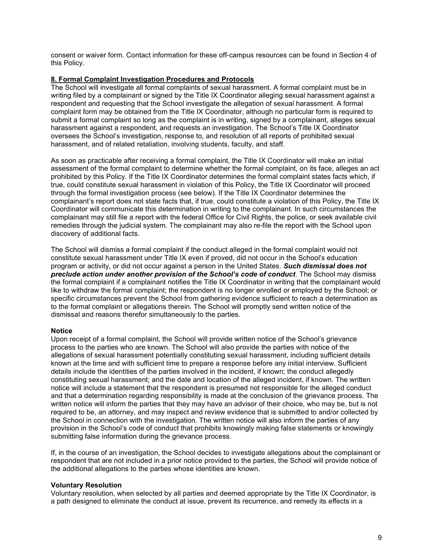consent or waiver form. Contact information for these off-campus resources can be found in Section 4 of this Policy.

## 8. Formal Complaint Investigation Procedures and Protocols

The School will investigate all formal complaints of sexual harassment. A formal complaint must be in writing filed by a complainant or signed by the Title IX Coordinator alleging sexual harassment against a respondent and requesting that the School investigate the allegation of sexual harassment. A formal complaint form may be obtained from the Title IX Coordinator, although no particular form is required to submit a formal complaint so long as the complaint is in writing, signed by a complainant, alleges sexual harassment against a respondent, and requests an investigation. The School's Title IX Coordinator oversees the School's investigation, response to, and resolution of all reports of prohibited sexual harassment, and of related retaliation, involving students, faculty, and staff.

As soon as practicable after receiving a formal complaint, the Title IX Coordinator will make an initial assessment of the formal complaint to determine whether the formal complaint, on its face, alleges an act prohibited by this Policy. If the Title IX Coordinator determines the formal complaint states facts which, if true, could constitute sexual harassment in violation of this Policy, the Title IX Coordinator will proceed through the formal investigation process (see below). If the Title IX Coordinator determines the complainant's report does not state facts that, if true, could constitute a violation of this Policy, the Title IX Coordinator will communicate this determination in writing to the complainant. In such circumstances the complainant may still file a report with the federal Office for Civil Rights, the police, or seek available civil remedies through the judicial system. The complainant may also re-file the report with the School upon discovery of additional facts.

The School will dismiss a formal complaint if the conduct alleged in the formal complaint would not constitute sexual harassment under Title IX even if proved, did not occur in the School's education program or activity, or did not occur against a person in the United States. Such dismissal does not preclude action under another provision of the School's code of conduct. The School may dismiss the formal complaint if a complainant notifies the Title IX Coordinator in writing that the complainant would like to withdraw the formal complaint; the respondent is no longer enrolled or employed by the School; or specific circumstances prevent the School from gathering evidence sufficient to reach a determination as to the formal complaint or allegations therein. The School will promptly send written notice of the dismissal and reasons therefor simultaneously to the parties.

#### **Notice**

Upon receipt of a formal complaint, the School will provide written notice of the School's grievance process to the parties who are known. The School will also provide the parties with notice of the allegations of sexual harassment potentially constituting sexual harassment, including sufficient details known at the time and with sufficient time to prepare a response before any initial interview. Sufficient details include the identities of the parties involved in the incident, if known; the conduct allegedly constituting sexual harassment; and the date and location of the alleged incident, if known. The written notice will include a statement that the respondent is presumed not responsible for the alleged conduct and that a determination regarding responsibility is made at the conclusion of the grievance process. The written notice will inform the parties that they may have an advisor of their choice, who may be, but is not required to be, an attorney, and may inspect and review evidence that is submitted to and/or collected by the School in connection with the investigation. The written notice will also inform the parties of any provision in the School's code of conduct that prohibits knowingly making false statements or knowingly submitting false information during the grievance process.

If, in the course of an investigation, the School decides to investigate allegations about the complainant or respondent that are not included in a prior notice provided to the parties, the School will provide notice of the additional allegations to the parties whose identities are known.

#### Voluntary Resolution

Voluntary resolution, when selected by all parties and deemed appropriate by the Title IX Coordinator, is a path designed to eliminate the conduct at issue, prevent its recurrence, and remedy its effects in a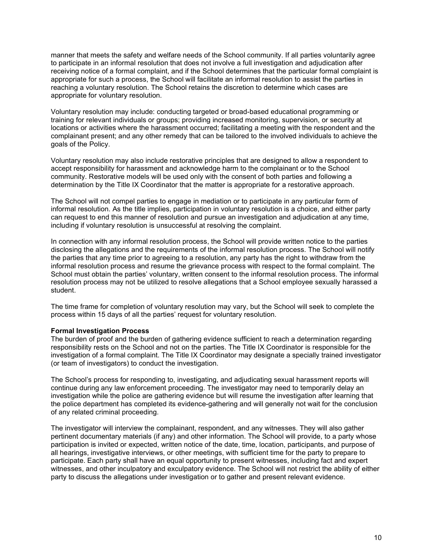manner that meets the safety and welfare needs of the School community. If all parties voluntarily agree to participate in an informal resolution that does not involve a full investigation and adjudication after receiving notice of a formal complaint, and if the School determines that the particular formal complaint is appropriate for such a process, the School will facilitate an informal resolution to assist the parties in reaching a voluntary resolution. The School retains the discretion to determine which cases are appropriate for voluntary resolution.

Voluntary resolution may include: conducting targeted or broad-based educational programming or training for relevant individuals or groups; providing increased monitoring, supervision, or security at locations or activities where the harassment occurred; facilitating a meeting with the respondent and the complainant present; and any other remedy that can be tailored to the involved individuals to achieve the goals of the Policy.

Voluntary resolution may also include restorative principles that are designed to allow a respondent to accept responsibility for harassment and acknowledge harm to the complainant or to the School community. Restorative models will be used only with the consent of both parties and following a determination by the Title IX Coordinator that the matter is appropriate for a restorative approach.

The School will not compel parties to engage in mediation or to participate in any particular form of informal resolution. As the title implies, participation in voluntary resolution is a choice, and either party can request to end this manner of resolution and pursue an investigation and adjudication at any time, including if voluntary resolution is unsuccessful at resolving the complaint.

In connection with any informal resolution process, the School will provide written notice to the parties disclosing the allegations and the requirements of the informal resolution process. The School will notify the parties that any time prior to agreeing to a resolution, any party has the right to withdraw from the informal resolution process and resume the grievance process with respect to the formal complaint. The School must obtain the parties' voluntary, written consent to the informal resolution process. The informal resolution process may not be utilized to resolve allegations that a School employee sexually harassed a student.

The time frame for completion of voluntary resolution may vary, but the School will seek to complete the process within 15 days of all the parties' request for voluntary resolution.

### Formal Investigation Process

The burden of proof and the burden of gathering evidence sufficient to reach a determination regarding responsibility rests on the School and not on the parties. The Title IX Coordinator is responsible for the investigation of a formal complaint. The Title IX Coordinator may designate a specially trained investigator (or team of investigators) to conduct the investigation.

The School's process for responding to, investigating, and adjudicating sexual harassment reports will continue during any law enforcement proceeding. The investigator may need to temporarily delay an investigation while the police are gathering evidence but will resume the investigation after learning that the police department has completed its evidence-gathering and will generally not wait for the conclusion of any related criminal proceeding.

The investigator will interview the complainant, respondent, and any witnesses. They will also gather pertinent documentary materials (if any) and other information. The School will provide, to a party whose participation is invited or expected, written notice of the date, time, location, participants, and purpose of all hearings, investigative interviews, or other meetings, with sufficient time for the party to prepare to participate. Each party shall have an equal opportunity to present witnesses, including fact and expert witnesses, and other inculpatory and exculpatory evidence. The School will not restrict the ability of either party to discuss the allegations under investigation or to gather and present relevant evidence.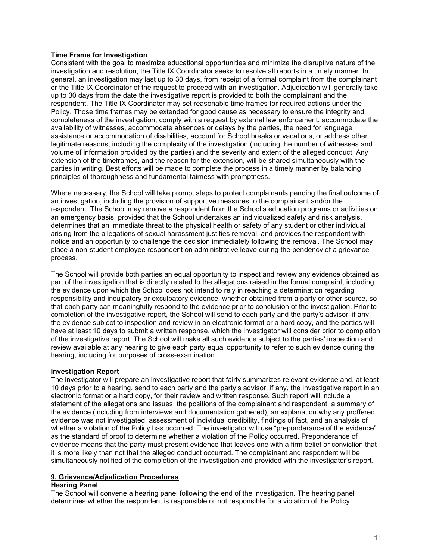## Time Frame for Investigation

Consistent with the goal to maximize educational opportunities and minimize the disruptive nature of the investigation and resolution, the Title IX Coordinator seeks to resolve all reports in a timely manner. In general, an investigation may last up to 30 days, from receipt of a formal complaint from the complainant or the Title IX Coordinator of the request to proceed with an investigation. Adjudication will generally take up to 30 days from the date the investigative report is provided to both the complainant and the respondent. The Title IX Coordinator may set reasonable time frames for required actions under the Policy. Those time frames may be extended for good cause as necessary to ensure the integrity and completeness of the investigation, comply with a request by external law enforcement, accommodate the availability of witnesses, accommodate absences or delays by the parties, the need for language assistance or accommodation of disabilities, account for School breaks or vacations, or address other legitimate reasons, including the complexity of the investigation (including the number of witnesses and volume of information provided by the parties) and the severity and extent of the alleged conduct. Any extension of the timeframes, and the reason for the extension, will be shared simultaneously with the parties in writing. Best efforts will be made to complete the process in a timely manner by balancing principles of thoroughness and fundamental fairness with promptness.

Where necessary, the School will take prompt steps to protect complainants pending the final outcome of an investigation, including the provision of supportive measures to the complainant and/or the respondent. The School may remove a respondent from the School's education programs or activities on an emergency basis, provided that the School undertakes an individualized safety and risk analysis, determines that an immediate threat to the physical health or safety of any student or other individual arising from the allegations of sexual harassment justifies removal, and provides the respondent with notice and an opportunity to challenge the decision immediately following the removal. The School may place a non-student employee respondent on administrative leave during the pendency of a grievance process.

The School will provide both parties an equal opportunity to inspect and review any evidence obtained as part of the investigation that is directly related to the allegations raised in the formal complaint, including the evidence upon which the School does not intend to rely in reaching a determination regarding responsibility and inculpatory or exculpatory evidence, whether obtained from a party or other source, so that each party can meaningfully respond to the evidence prior to conclusion of the investigation. Prior to completion of the investigative report, the School will send to each party and the party's advisor, if any, the evidence subject to inspection and review in an electronic format or a hard copy, and the parties will have at least 10 days to submit a written response, which the investigator will consider prior to completion of the investigative report. The School will make all such evidence subject to the parties' inspection and review available at any hearing to give each party equal opportunity to refer to such evidence during the hearing, including for purposes of cross-examination

#### Investigation Report

The investigator will prepare an investigative report that fairly summarizes relevant evidence and, at least 10 days prior to a hearing, send to each party and the party's advisor, if any, the investigative report in an electronic format or a hard copy, for their review and written response. Such report will include a statement of the allegations and issues, the positions of the complainant and respondent, a summary of the evidence (including from interviews and documentation gathered), an explanation why any proffered evidence was not investigated, assessment of individual credibility, findings of fact, and an analysis of whether a violation of the Policy has occurred. The investigator will use "preponderance of the evidence" as the standard of proof to determine whether a violation of the Policy occurred. Preponderance of evidence means that the party must present evidence that leaves one with a firm belief or conviction that it is more likely than not that the alleged conduct occurred. The complainant and respondent will be simultaneously notified of the completion of the investigation and provided with the investigator's report.

## 9. Grievance/Adjudication Procedures

## Hearing Panel

The School will convene a hearing panel following the end of the investigation. The hearing panel determines whether the respondent is responsible or not responsible for a violation of the Policy.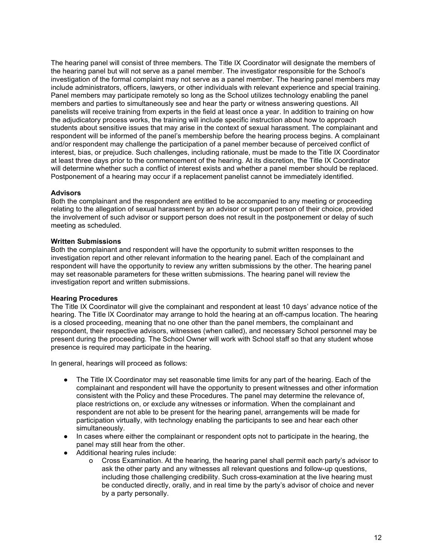The hearing panel will consist of three members. The Title IX Coordinator will designate the members of the hearing panel but will not serve as a panel member. The investigator responsible for the School's investigation of the formal complaint may not serve as a panel member. The hearing panel members may include administrators, officers, lawyers, or other individuals with relevant experience and special training. Panel members may participate remotely so long as the School utilizes technology enabling the panel members and parties to simultaneously see and hear the party or witness answering questions. All panelists will receive training from experts in the field at least once a year. In addition to training on how the adjudicatory process works, the training will include specific instruction about how to approach students about sensitive issues that may arise in the context of sexual harassment. The complainant and respondent will be informed of the panel's membership before the hearing process begins. A complainant and/or respondent may challenge the participation of a panel member because of perceived conflict of interest, bias, or prejudice. Such challenges, including rationale, must be made to the Title IX Coordinator at least three days prior to the commencement of the hearing. At its discretion, the Title IX Coordinator will determine whether such a conflict of interest exists and whether a panel member should be replaced. Postponement of a hearing may occur if a replacement panelist cannot be immediately identified.

#### **Advisors**

Both the complainant and the respondent are entitled to be accompanied to any meeting or proceeding relating to the allegation of sexual harassment by an advisor or support person of their choice, provided the involvement of such advisor or support person does not result in the postponement or delay of such meeting as scheduled.

## Written Submissions

Both the complainant and respondent will have the opportunity to submit written responses to the investigation report and other relevant information to the hearing panel. Each of the complainant and respondent will have the opportunity to review any written submissions by the other. The hearing panel may set reasonable parameters for these written submissions. The hearing panel will review the investigation report and written submissions.

#### Hearing Procedures

The Title IX Coordinator will give the complainant and respondent at least 10 days' advance notice of the hearing. The Title IX Coordinator may arrange to hold the hearing at an off-campus location. The hearing is a closed proceeding, meaning that no one other than the panel members, the complainant and respondent, their respective advisors, witnesses (when called), and necessary School personnel may be present during the proceeding. The School Owner will work with School staff so that any student whose presence is required may participate in the hearing.

In general, hearings will proceed as follows:

- The Title IX Coordinator may set reasonable time limits for any part of the hearing. Each of the complainant and respondent will have the opportunity to present witnesses and other information consistent with the Policy and these Procedures. The panel may determine the relevance of, place restrictions on, or exclude any witnesses or information. When the complainant and respondent are not able to be present for the hearing panel, arrangements will be made for participation virtually, with technology enabling the participants to see and hear each other simultaneously.
- In cases where either the complainant or respondent opts not to participate in the hearing, the panel may still hear from the other.
- Additional hearing rules include:
	- o Cross Examination. At the hearing, the hearing panel shall permit each party's advisor to ask the other party and any witnesses all relevant questions and follow-up questions, including those challenging credibility. Such cross-examination at the live hearing must be conducted directly, orally, and in real time by the party's advisor of choice and never by a party personally.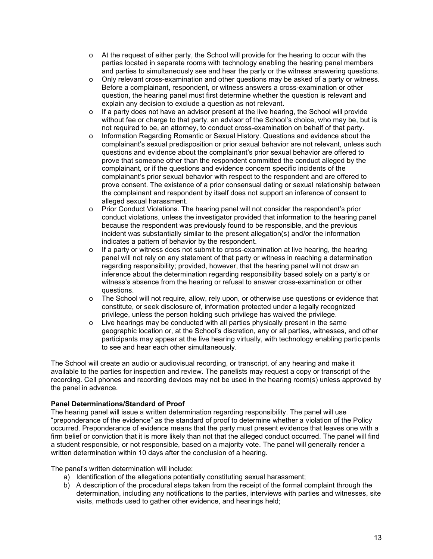- o At the request of either party, the School will provide for the hearing to occur with the parties located in separate rooms with technology enabling the hearing panel members and parties to simultaneously see and hear the party or the witness answering questions.
- o Only relevant cross-examination and other questions may be asked of a party or witness. Before a complainant, respondent, or witness answers a cross-examination or other question, the hearing panel must first determine whether the question is relevant and explain any decision to exclude a question as not relevant.
- o If a party does not have an advisor present at the live hearing, the School will provide without fee or charge to that party, an advisor of the School's choice, who may be, but is not required to be, an attorney, to conduct cross-examination on behalf of that party.
- o Information Regarding Romantic or Sexual History. Questions and evidence about the complainant's sexual predisposition or prior sexual behavior are not relevant, unless such questions and evidence about the complainant's prior sexual behavior are offered to prove that someone other than the respondent committed the conduct alleged by the complainant, or if the questions and evidence concern specific incidents of the complainant's prior sexual behavior with respect to the respondent and are offered to prove consent. The existence of a prior consensual dating or sexual relationship between the complainant and respondent by itself does not support an inference of consent to alleged sexual harassment.
- o Prior Conduct Violations. The hearing panel will not consider the respondent's prior conduct violations, unless the investigator provided that information to the hearing panel because the respondent was previously found to be responsible, and the previous incident was substantially similar to the present allegation(s) and/or the information indicates a pattern of behavior by the respondent.
- o If a party or witness does not submit to cross-examination at live hearing, the hearing panel will not rely on any statement of that party or witness in reaching a determination regarding responsibility; provided, however, that the hearing panel will not draw an inference about the determination regarding responsibility based solely on a party's or witness's absence from the hearing or refusal to answer cross-examination or other questions.
- o The School will not require, allow, rely upon, or otherwise use questions or evidence that constitute, or seek disclosure of, information protected under a legally recognized privilege, unless the person holding such privilege has waived the privilege.
- o Live hearings may be conducted with all parties physically present in the same geographic location or, at the School's discretion, any or all parties, witnesses, and other participants may appear at the live hearing virtually, with technology enabling participants to see and hear each other simultaneously.

The School will create an audio or audiovisual recording, or transcript, of any hearing and make it available to the parties for inspection and review. The panelists may request a copy or transcript of the recording. Cell phones and recording devices may not be used in the hearing room(s) unless approved by the panel in advance.

## Panel Determinations/Standard of Proof

The hearing panel will issue a written determination regarding responsibility. The panel will use "preponderance of the evidence" as the standard of proof to determine whether a violation of the Policy occurred. Preponderance of evidence means that the party must present evidence that leaves one with a firm belief or conviction that it is more likely than not that the alleged conduct occurred. The panel will find a student responsible, or not responsible, based on a majority vote. The panel will generally render a written determination within 10 days after the conclusion of a hearing.

The panel's written determination will include:

- a) Identification of the allegations potentially constituting sexual harassment;
- b) A description of the procedural steps taken from the receipt of the formal complaint through the determination, including any notifications to the parties, interviews with parties and witnesses, site visits, methods used to gather other evidence, and hearings held;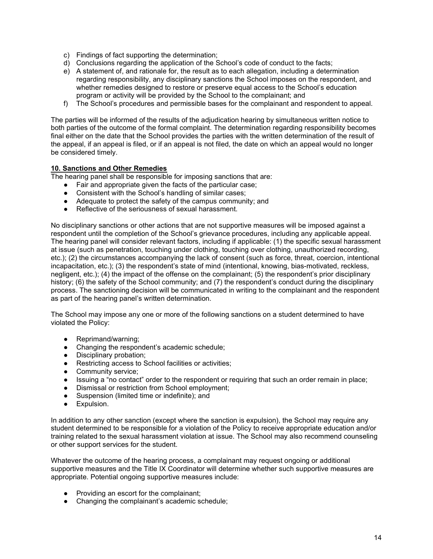- c) Findings of fact supporting the determination;
- d) Conclusions regarding the application of the School's code of conduct to the facts;
- e) A statement of, and rationale for, the result as to each allegation, including a determination regarding responsibility, any disciplinary sanctions the School imposes on the respondent, and whether remedies designed to restore or preserve equal access to the School's education program or activity will be provided by the School to the complainant; and
- f) The School's procedures and permissible bases for the complainant and respondent to appeal.

The parties will be informed of the results of the adjudication hearing by simultaneous written notice to both parties of the outcome of the formal complaint. The determination regarding responsibility becomes final either on the date that the School provides the parties with the written determination of the result of the appeal, if an appeal is filed, or if an appeal is not filed, the date on which an appeal would no longer be considered timely.

## 10. Sanctions and Other Remedies

The hearing panel shall be responsible for imposing sanctions that are:

- Fair and appropriate given the facts of the particular case;
- Consistent with the School's handling of similar cases;
- Adequate to protect the safety of the campus community; and
- Reflective of the seriousness of sexual harassment.

No disciplinary sanctions or other actions that are not supportive measures will be imposed against a respondent until the completion of the School's grievance procedures, including any applicable appeal. The hearing panel will consider relevant factors, including if applicable: (1) the specific sexual harassment at issue (such as penetration, touching under clothing, touching over clothing, unauthorized recording, etc.); (2) the circumstances accompanying the lack of consent (such as force, threat, coercion, intentional incapacitation, etc.); (3) the respondent's state of mind (intentional, knowing, bias-motivated, reckless, negligent, etc.); (4) the impact of the offense on the complainant; (5) the respondent's prior disciplinary history; (6) the safety of the School community; and (7) the respondent's conduct during the disciplinary process. The sanctioning decision will be communicated in writing to the complainant and the respondent as part of the hearing panel's written determination.

The School may impose any one or more of the following sanctions on a student determined to have violated the Policy:

- Reprimand/warning;
- Changing the respondent's academic schedule;
- Disciplinary probation;
- Restricting access to School facilities or activities;
- Community service;
- Issuing a "no contact" order to the respondent or requiring that such an order remain in place;
- Dismissal or restriction from School employment;
- Suspension (limited time or indefinite); and
- **•** Expulsion.

In addition to any other sanction (except where the sanction is expulsion), the School may require any student determined to be responsible for a violation of the Policy to receive appropriate education and/or training related to the sexual harassment violation at issue. The School may also recommend counseling or other support services for the student.

Whatever the outcome of the hearing process, a complainant may request ongoing or additional supportive measures and the Title IX Coordinator will determine whether such supportive measures are appropriate. Potential ongoing supportive measures include:

- Providing an escort for the complainant;
- Changing the complainant's academic schedule;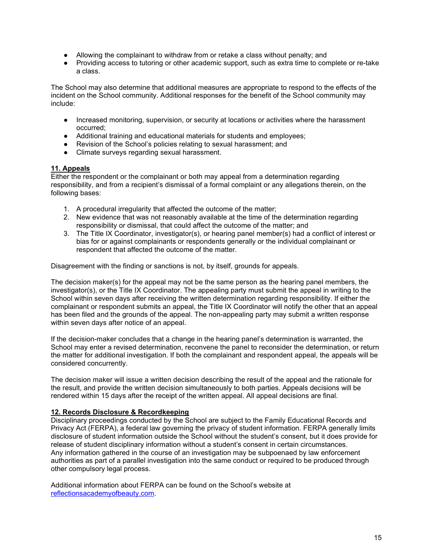- Allowing the complainant to withdraw from or retake a class without penalty; and
- Providing access to tutoring or other academic support, such as extra time to complete or re-take a class.

The School may also determine that additional measures are appropriate to respond to the effects of the incident on the School community. Additional responses for the benefit of the School community may include:

- Increased monitoring, supervision, or security at locations or activities where the harassment occurred;
- Additional training and educational materials for students and employees;
- Revision of the School's policies relating to sexual harassment; and
- Climate surveys regarding sexual harassment.

## 11. Appeals

Either the respondent or the complainant or both may appeal from a determination regarding responsibility, and from a recipient's dismissal of a formal complaint or any allegations therein, on the following bases:

- 1. A procedural irregularity that affected the outcome of the matter;
- 2. New evidence that was not reasonably available at the time of the determination regarding responsibility or dismissal, that could affect the outcome of the matter; and
- 3. The Title IX Coordinator, investigator(s), or hearing panel member(s) had a conflict of interest or bias for or against complainants or respondents generally or the individual complainant or respondent that affected the outcome of the matter.

Disagreement with the finding or sanctions is not, by itself, grounds for appeals.

The decision maker(s) for the appeal may not be the same person as the hearing panel members, the investigator(s), or the Title IX Coordinator. The appealing party must submit the appeal in writing to the School within seven days after receiving the written determination regarding responsibility. If either the complainant or respondent submits an appeal, the Title IX Coordinator will notify the other that an appeal has been filed and the grounds of the appeal. The non-appealing party may submit a written response within seven days after notice of an appeal.

If the decision-maker concludes that a change in the hearing panel's determination is warranted, the School may enter a revised determination, reconvene the panel to reconsider the determination, or return the matter for additional investigation. If both the complainant and respondent appeal, the appeals will be considered concurrently.

The decision maker will issue a written decision describing the result of the appeal and the rationale for the result, and provide the written decision simultaneously to both parties. Appeals decisions will be rendered within 15 days after the receipt of the written appeal. All appeal decisions are final.

#### 12. Records Disclosure & Recordkeeping

Disciplinary proceedings conducted by the School are subject to the Family Educational Records and Privacy Act (FERPA), a federal law governing the privacy of student information. FERPA generally limits disclosure of student information outside the School without the student's consent, but it does provide for release of student disciplinary information without a student's consent in certain circumstances. Any information gathered in the course of an investigation may be subpoenaed by law enforcement authorities as part of a parallel investigation into the same conduct or required to be produced through other compulsory legal process.

Additional information about FERPA can be found on the School's website at reflectionsacademyofbeauty.com.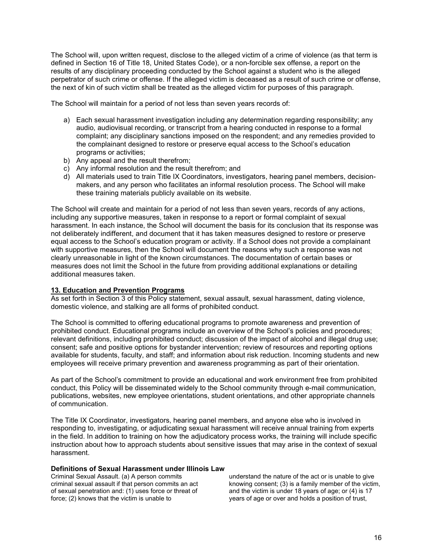The School will, upon written request, disclose to the alleged victim of a crime of violence (as that term is defined in Section 16 of Title 18, United States Code), or a non-forcible sex offense, a report on the results of any disciplinary proceeding conducted by the School against a student who is the alleged perpetrator of such crime or offense. If the alleged victim is deceased as a result of such crime or offense, the next of kin of such victim shall be treated as the alleged victim for purposes of this paragraph.

The School will maintain for a period of not less than seven years records of:

- a) Each sexual harassment investigation including any determination regarding responsibility; any audio, audiovisual recording, or transcript from a hearing conducted in response to a formal complaint; any disciplinary sanctions imposed on the respondent; and any remedies provided to the complainant designed to restore or preserve equal access to the School's education programs or activities;
- b) Any appeal and the result therefrom;
- c) Any informal resolution and the result therefrom; and
- d) All materials used to train Title IX Coordinators, investigators, hearing panel members, decisionmakers, and any person who facilitates an informal resolution process. The School will make these training materials publicly available on its website.

The School will create and maintain for a period of not less than seven years, records of any actions, including any supportive measures, taken in response to a report or formal complaint of sexual harassment. In each instance, the School will document the basis for its conclusion that its response was not deliberately indifferent, and document that it has taken measures designed to restore or preserve equal access to the School's education program or activity. If a School does not provide a complainant with supportive measures, then the School will document the reasons why such a response was not clearly unreasonable in light of the known circumstances. The documentation of certain bases or measures does not limit the School in the future from providing additional explanations or detailing additional measures taken.

#### 13. Education and Prevention Programs

As set forth in Section 3 of this Policy statement, sexual assault, sexual harassment, dating violence, domestic violence, and stalking are all forms of prohibited conduct.

The School is committed to offering educational programs to promote awareness and prevention of prohibited conduct. Educational programs include an overview of the School's policies and procedures; relevant definitions, including prohibited conduct; discussion of the impact of alcohol and illegal drug use; consent; safe and positive options for bystander intervention; review of resources and reporting options available for students, faculty, and staff; and information about risk reduction. Incoming students and new employees will receive primary prevention and awareness programming as part of their orientation.

As part of the School's commitment to provide an educational and work environment free from prohibited conduct, this Policy will be disseminated widely to the School community through e-mail communication, publications, websites, new employee orientations, student orientations, and other appropriate channels of communication.

The Title IX Coordinator, investigators, hearing panel members, and anyone else who is involved in responding to, investigating, or adjudicating sexual harassment will receive annual training from experts in the field. In addition to training on how the adjudicatory process works, the training will include specific instruction about how to approach students about sensitive issues that may arise in the context of sexual harassment.

#### Definitions of Sexual Harassment under Illinois Law

Criminal Sexual Assault. (a) A person commits criminal sexual assault if that person commits an act of sexual penetration and: (1) uses force or threat of force; (2) knows that the victim is unable to

understand the nature of the act or is unable to give knowing consent; (3) is a family member of the victim, and the victim is under 18 years of age; or (4) is 17 years of age or over and holds a position of trust,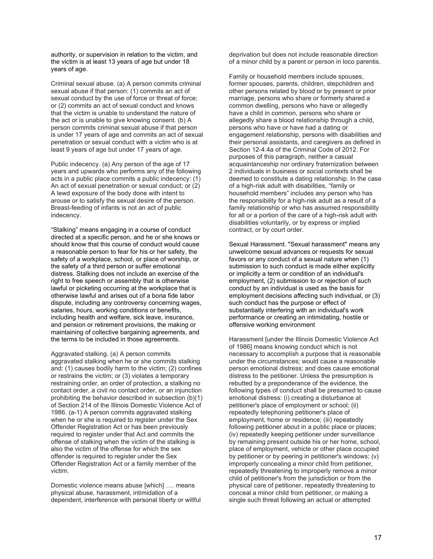authority, or supervision in relation to the victim, and the victim is at least 13 years of age but under 18 years of age.

Criminal sexual abuse. (a) A person commits criminal sexual abuse if that person: (1) commits an act of sexual conduct by the use of force or threat of force; or (2) commits an act of sexual conduct and knows that the victim is unable to understand the nature of the act or is unable to give knowing consent. (b) A person commits criminal sexual abuse if that person is under 17 years of age and commits an act of sexual penetration or sexual conduct with a victim who is at least 9 years of age but under 17 years of age.

Public indecency. (a) Any person of the age of 17 years and upwards who performs any of the following acts in a public place commits a public indecency: (1) An act of sexual penetration or sexual conduct; or (2) A lewd exposure of the body done with intent to arouse or to satisfy the sexual desire of the person. Breast-feeding of infants is not an act of public indecency.

"Stalking" means engaging in a course of conduct directed at a specific person, and he or she knows or should know that this course of conduct would cause a reasonable person to fear for his or her safety, the safety of a workplace, school, or place of worship, or the safety of a third person or suffer emotional distress. Stalking does not include an exercise of the right to free speech or assembly that is otherwise lawful or picketing occurring at the workplace that is otherwise lawful and arises out of a bona fide labor dispute, including any controversy concerning wages, salaries, hours, working conditions or benefits, including health and welfare, sick leave, insurance, and pension or retirement provisions, the making or maintaining of collective bargaining agreements, and the terms to be included in those agreements.

Aggravated stalking. (a) A person commits aggravated stalking when he or she commits stalking and: (1) causes bodily harm to the victim; (2) confines or restrains the victim; or (3) violates a temporary restraining order, an order of protection, a stalking no contact order, a civil no contact order, or an injunction prohibiting the behavior described in subsection (b)(1) of Section 214 of the Illinois Domestic Violence Act of 1986. (a-1) A person commits aggravated stalking when he or she is required to register under the Sex Offender Registration Act or has been previously required to register under that Act and commits the offense of stalking when the victim of the stalking is also the victim of the offense for which the sex offender is required to register under the Sex Offender Registration Act or a family member of the victim.

Domestic violence means abuse [which] …. means physical abuse, harassment, intimidation of a dependent, interference with personal liberty or willful deprivation but does not include reasonable direction of a minor child by a parent or person in loco parentis.

Family or household members include spouses, former spouses, parents, children, stepchildren and other persons related by blood or by present or prior marriage, persons who share or formerly shared a common dwelling, persons who have or allegedly have a child in common, persons who share or allegedly share a blood relationship through a child, persons who have or have had a dating or engagement relationship, persons with disabilities and their personal assistants, and caregivers as defined in Section 12-4.4a of the Criminal Code of 2012. For purposes of this paragraph, neither a casual acquaintanceship nor ordinary fraternization between 2 individuals in business or social contexts shall be deemed to constitute a dating relationship. In the case of a high-risk adult with disabilities, "family or household members" includes any person who has the responsibility for a high-risk adult as a result of a family relationship or who has assumed responsibility for all or a portion of the care of a high-risk adult with disabilities voluntarily, or by express or implied contract, or by court order.

Sexual Harassment. "Sexual harassment" means any unwelcome sexual advances or requests for sexual favors or any conduct of a sexual nature when (1) submission to such conduct is made either explicitly or implicitly a term or condition of an individual's employment, (2) submission to or rejection of such conduct by an individual is used as the basis for employment decisions affecting such individual, or (3) such conduct has the purpose or effect of substantially interfering with an individual's work performance or creating an intimidating, hostile or offensive working environment

Harassment [under the Illinois Domestic Violence Act of 1986] means knowing conduct which is not necessary to accomplish a purpose that is reasonable under the circumstances; would cause a reasonable person emotional distress; and does cause emotional distress to the petitioner. Unless the presumption is rebutted by a preponderance of the evidence, the following types of conduct shall be presumed to cause emotional distress: (i) creating a disturbance at petitioner's place of employment or school; (ii) repeatedly telephoning petitioner's place of employment, home or residence; (iii) repeatedly following petitioner about in a public place or places; (iv) repeatedly keeping petitioner under surveillance by remaining present outside his or her home, school, place of employment, vehicle or other place occupied by petitioner or by peering in petitioner's windows; (v) improperly concealing a minor child from petitioner, repeatedly threatening to improperly remove a minor child of petitioner's from the jurisdiction or from the physical care of petitioner, repeatedly threatening to conceal a minor child from petitioner, or making a single such threat following an actual or attempted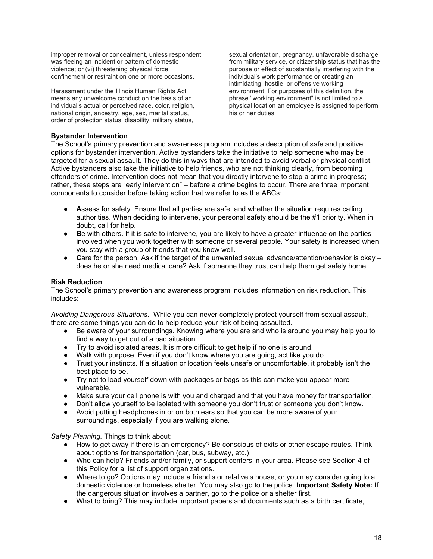improper removal or concealment, unless respondent was fleeing an incident or pattern of domestic violence; or (vi) threatening physical force, confinement or restraint on one or more occasions.

Harassment under the Illinois Human Rights Act means any unwelcome conduct on the basis of an individual's actual or perceived race, color, religion, national origin, ancestry, age, sex, marital status, order of protection status, disability, military status,

sexual orientation, pregnancy, unfavorable discharge from military service, or citizenship status that has the purpose or effect of substantially interfering with the individual's work performance or creating an intimidating, hostile, or offensive working environment. For purposes of this definition, the phrase "working environment" is not limited to a physical location an employee is assigned to perform his or her duties.

## Bystander Intervention

The School's primary prevention and awareness program includes a description of safe and positive options for bystander intervention. Active bystanders take the initiative to help someone who may be targeted for a sexual assault. They do this in ways that are intended to avoid verbal or physical conflict. Active bystanders also take the initiative to help friends, who are not thinking clearly, from becoming offenders of crime. Intervention does not mean that you directly intervene to stop a crime in progress; rather, these steps are "early intervention" – before a crime begins to occur. There are three important components to consider before taking action that we refer to as the ABCs:

- Assess for safety. Ensure that all parties are safe, and whether the situation requires calling authorities. When deciding to intervene, your personal safety should be the #1 priority. When in doubt, call for help.
- Be with others. If it is safe to intervene, you are likely to have a greater influence on the parties involved when you work together with someone or several people. Your safety is increased when you stay with a group of friends that you know well.
- Care for the person. Ask if the target of the unwanted sexual advance/attention/behavior is okay does he or she need medical care? Ask if someone they trust can help them get safely home.

#### Risk Reduction

The School's primary prevention and awareness program includes information on risk reduction. This includes:

Avoiding Dangerous Situations. While you can never completely protect yourself from sexual assault, there are some things you can do to help reduce your risk of being assaulted.

- Be aware of your surroundings. Knowing where you are and who is around you may help you to find a way to get out of a bad situation.
- Try to avoid isolated areas. It is more difficult to get help if no one is around.
- Walk with purpose. Even if you don't know where you are going, act like you do.
- Trust your instincts. If a situation or location feels unsafe or uncomfortable, it probably isn't the best place to be.
- Try not to load yourself down with packages or bags as this can make you appear more vulnerable.
- Make sure your cell phone is with you and charged and that you have money for transportation.
- Don't allow yourself to be isolated with someone you don't trust or someone you don't know.
- Avoid putting headphones in or on both ears so that you can be more aware of your surroundings, especially if you are walking alone.

Safety Planning. Things to think about:

- How to get away if there is an emergency? Be conscious of exits or other escape routes. Think about options for transportation (car, bus, subway, etc.).
- Who can help? Friends and/or family, or support centers in your area. Please see Section 4 of this Policy for a list of support organizations.
- Where to go? Options may include a friend's or relative's house, or you may consider going to a domestic violence or homeless shelter. You may also go to the police. Important Safety Note: If the dangerous situation involves a partner, go to the police or a shelter first.
- What to bring? This may include important papers and documents such as a birth certificate,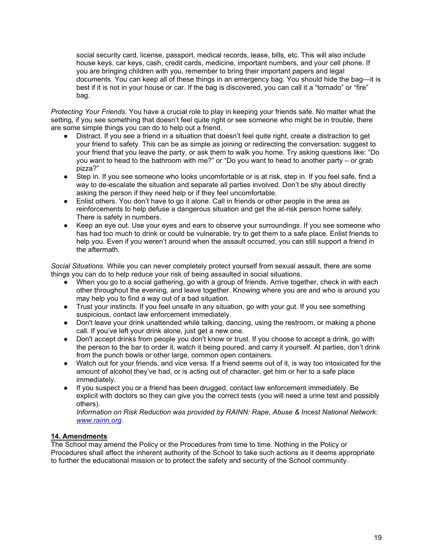social security card, license, passport, medical records, lease, bills, etc. This will also include house keys, car keys, cash, credit cards, medicine, important numbers, and your cell phone. If you are bringing children with you, remember to bring their important papers and legal documents. You can keep all of these things in an emergency bag. You should hide the bag—it is best if it is not in your house or car. If the bag is discovered, you can call it a "tornado" or "fire" bag.

Protecting Your Friends. You have a crucial role to play in keeping your friends safe. No matter what the setting, if you see something that doesn't feel quite right or see someone who might be in trouble, there are some simple things you can do to help out a friend.

- Distract. If you see a friend in a situation that doesn't feel quite right, create a distraction to get your friend to safety. This can be as simple as joining or redirecting the conversation: suggest to your friend that you leave the party, or ask them to walk you home. Try asking questions like: "Do you want to head to the bathroom with me?" or "Do you want to head to another party – or grab pizza?"
- Step in. If you see someone who looks uncomfortable or is at risk, step in. If you feel safe, find a way to de-escalate the situation and separate all parties involved. Don't be shy about directly asking the person if they need help or if they feel uncomfortable.
- Enlist others. You don't have to go it alone. Call in friends or other people in the area as reinforcements to help defuse a dangerous situation and get the at-risk person home safely. There is safety in numbers.
- Keep an eye out. Use your eyes and ears to observe your surroundings. If you see someone who has had too much to drink or could be vulnerable, try to get them to a safe place. Enlist friends to help you. Even if you weren't around when the assault occurred, you can still support a friend in the aftermath.

Social Situations. While you can never completely protect yourself from sexual assault, there are some things you can do to help reduce your risk of being assaulted in social situations.

- When you go to a social gathering, go with a group of friends. Arrive together, check in with each other throughout the evening, and leave together. Knowing where you are and who is around you may help you to find a way out of a bad situation.
- Trust your instincts. If you feel unsafe in any situation, go with your gut. If you see something suspicious, contact law enforcement immediately.
- Don't leave your drink unattended while talking, dancing, using the restroom, or making a phone call. If you've left your drink alone, just get a new one.
- Don't accept drinks from people you don't know or trust. If you choose to accept a drink, go with the person to the bar to order it, watch it being poured, and carry it yourself. At parties, don't drink from the punch bowls or other large, common open containers.
- Watch out for your friends, and vice versa. If a friend seems out of it, is way too intoxicated for the amount of alcohol they've had, or is acting out of character, get him or her to a safe place immediately.
- If you suspect you or a friend has been drugged, contact law enforcement immediately. Be explicit with doctors so they can give you the correct tests (you will need a urine test and possibly others).

Information on Risk Reduction was provided by RAINN: Rape, Abuse & Incest National Network: www.rainn.org.

## 14. Amendments

The School may amend the Policy or the Procedures from time to time. Nothing in the Policy or Procedures shall affect the inherent authority of the School to take such actions as it deems appropriate to further the educational mission or to protect the safety and security of the School community.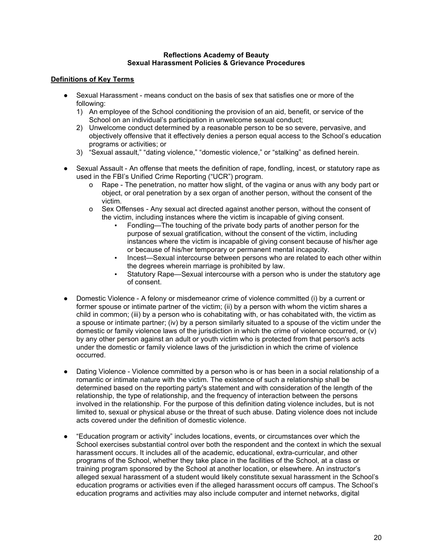### Reflections Academy of Beauty Sexual Harassment Policies & Grievance Procedures

## Definitions of Key Terms

- Sexual Harassment means conduct on the basis of sex that satisfies one or more of the following:
	- 1) An employee of the School conditioning the provision of an aid, benefit, or service of the School on an individual's participation in unwelcome sexual conduct;
	- 2) Unwelcome conduct determined by a reasonable person to be so severe, pervasive, and objectively offensive that it effectively denies a person equal access to the School's education programs or activities; or
	- 3) "Sexual assault," "dating violence," "domestic violence," or "stalking" as defined herein.
- Sexual Assault An offense that meets the definition of rape, fondling, incest, or statutory rape as used in the FBI's Unified Crime Reporting ("UCR") program.
	- o Rape The penetration, no matter how slight, of the vagina or anus with any body part or object, or oral penetration by a sex organ of another person, without the consent of the victim.
	- o Sex Offenses Any sexual act directed against another person, without the consent of the victim, including instances where the victim is incapable of giving consent.
		- Fondling—The touching of the private body parts of another person for the purpose of sexual gratification, without the consent of the victim, including instances where the victim is incapable of giving consent because of his/her age or because of his/her temporary or permanent mental incapacity.
		- Incest-Sexual intercourse between persons who are related to each other within the degrees wherein marriage is prohibited by law.
		- Statutory Rape—Sexual intercourse with a person who is under the statutory age of consent.
- Domestic Violence A felony or misdemeanor crime of violence committed (i) by a current or former spouse or intimate partner of the victim; (ii) by a person with whom the victim shares a child in common; (iii) by a person who is cohabitating with, or has cohabitated with, the victim as a spouse or intimate partner; (iv) by a person similarly situated to a spouse of the victim under the domestic or family violence laws of the jurisdiction in which the crime of violence occurred, or (v) by any other person against an adult or youth victim who is protected from that person's acts under the domestic or family violence laws of the jurisdiction in which the crime of violence occurred.
- Dating Violence Violence committed by a person who is or has been in a social relationship of a romantic or intimate nature with the victim. The existence of such a relationship shall be determined based on the reporting party's statement and with consideration of the length of the relationship, the type of relationship, and the frequency of interaction between the persons involved in the relationship. For the purpose of this definition dating violence includes, but is not limited to, sexual or physical abuse or the threat of such abuse. Dating violence does not include acts covered under the definition of domestic violence.
- "Education program or activity" includes locations, events, or circumstances over which the School exercises substantial control over both the respondent and the context in which the sexual harassment occurs. It includes all of the academic, educational, extra-curricular, and other programs of the School, whether they take place in the facilities of the School, at a class or training program sponsored by the School at another location, or elsewhere. An instructor's alleged sexual harassment of a student would likely constitute sexual harassment in the School's education programs or activities even if the alleged harassment occurs off campus. The School's education programs and activities may also include computer and internet networks, digital